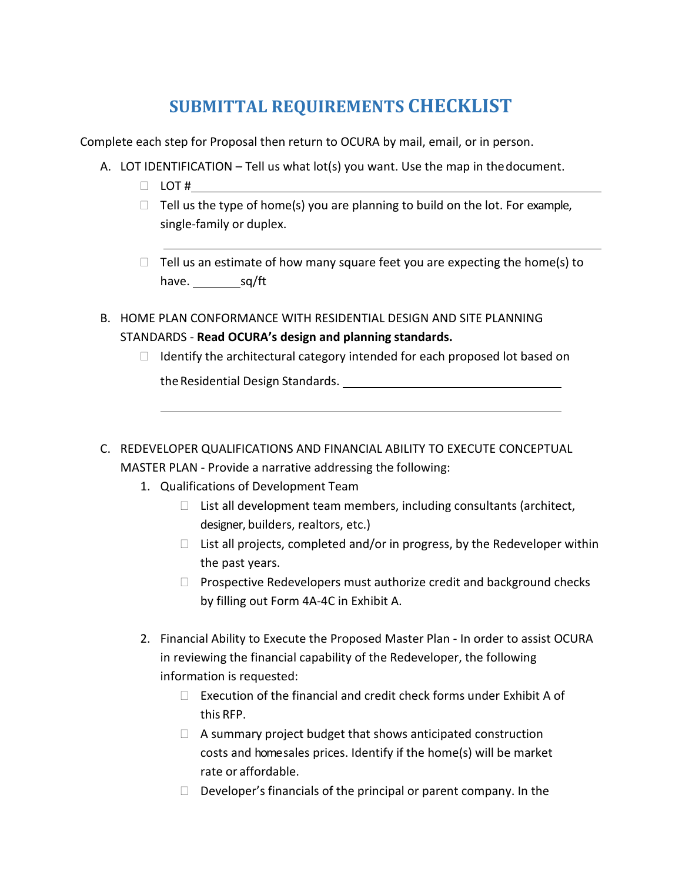## **SUBMITTAL REQUIREMENTS CHECKLIST**

Complete each step for Proposal then return to OCURA by mail, email, or in person.

- A. LOT IDENTIFICATION Tell us what lot(s) you want. Use the map in thedocument.
	- $\Box$  LOT #
	- $\Box$  Tell us the type of home(s) you are planning to build on the lot. For example, single-family or duplex.
	- $\Box$  Tell us an estimate of how many square feet you are expecting the home(s) to have.  $\frac{\text{sq/ft}}{\text{sq/ft}}$
- B. HOME PLAN CONFORMANCE WITH RESIDENTIAL DESIGN AND SITE PLANNING STANDARDS - **Read OCURA's design and planning standards.**
	- $\Box$  Identify the architectural category intended for each proposed lot based on the Residential Design Standards. The Residential Design Standards.
- C. REDEVELOPER QUALIFICATIONS AND FINANCIAL ABILITY TO EXECUTE CONCEPTUAL MASTER PLAN - Provide a narrative addressing the following:
	- 1. Qualifications of Development Team
		- $\Box$  List all development team members, including consultants (architect, designer, builders, realtors, etc.)
		- $\Box$  List all projects, completed and/or in progress, by the Redeveloper within the past years.
		- $\Box$  Prospective Redevelopers must authorize credit and background checks by filling out Form 4A-4C in Exhibit A.
	- 2. Financial Ability to Execute the Proposed Master Plan In order to assist OCURA in reviewing the financial capability of the Redeveloper, the following information is requested:
		- $\Box$  Execution of the financial and credit check forms under Exhibit A of this RFP.
		- $\Box$  A summary project budget that shows anticipated construction costs and home sales prices. Identify if the home(s) will be market rate or affordable.
		- $\Box$  Developer's financials of the principal or parent company. In the